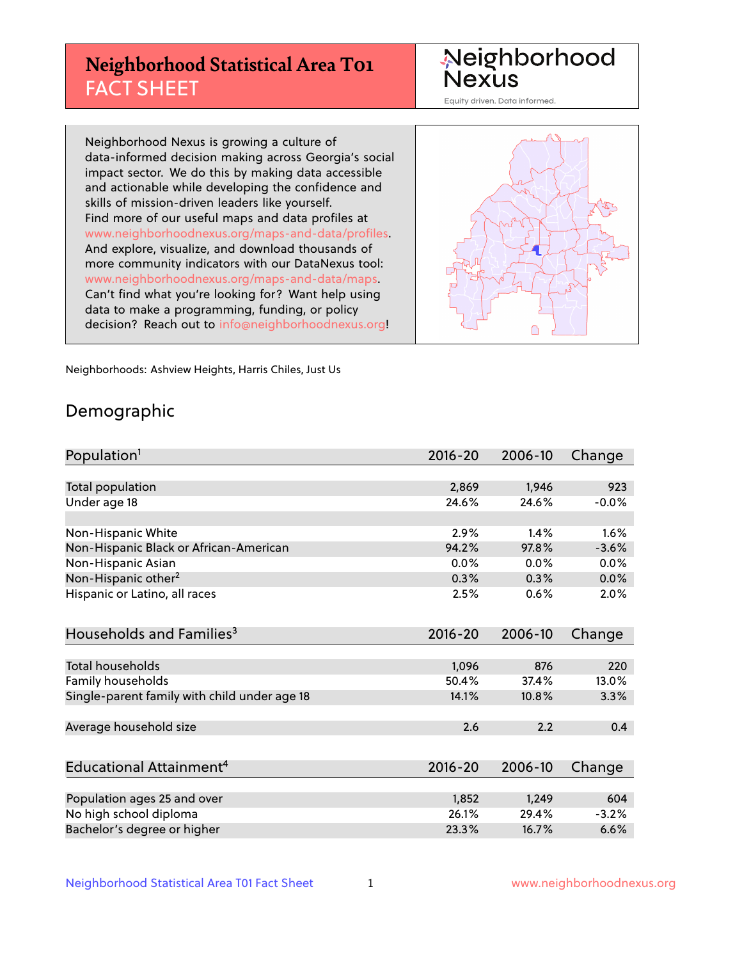## **Neighborhood Statistical Area T01** FACT SHEET

Neighborhood Nexus

Equity driven. Data informed.

Neighborhood Nexus is growing a culture of data-informed decision making across Georgia's social impact sector. We do this by making data accessible and actionable while developing the confidence and skills of mission-driven leaders like yourself. Find more of our useful maps and data profiles at www.neighborhoodnexus.org/maps-and-data/profiles. And explore, visualize, and download thousands of more community indicators with our DataNexus tool: www.neighborhoodnexus.org/maps-and-data/maps. Can't find what you're looking for? Want help using data to make a programming, funding, or policy decision? Reach out to [info@neighborhoodnexus.org!](mailto:info@neighborhoodnexus.org)



Neighborhoods: Ashview Heights, Harris Chiles, Just Us

### Demographic

| Population <sup>1</sup>                      | 2016-20     | 2006-10 | Change  |
|----------------------------------------------|-------------|---------|---------|
|                                              |             |         |         |
| Total population                             | 2,869       | 1,946   | 923     |
| Under age 18                                 | 24.6%       | 24.6%   | $-0.0%$ |
|                                              |             |         |         |
| Non-Hispanic White                           | 2.9%        | 1.4%    | 1.6%    |
| Non-Hispanic Black or African-American       | 94.2%       | 97.8%   | $-3.6%$ |
| Non-Hispanic Asian                           | 0.0%        | 0.0%    | 0.0%    |
| Non-Hispanic other <sup>2</sup>              | 0.3%        | 0.3%    | $0.0\%$ |
| Hispanic or Latino, all races                | 2.5%        | 0.6%    | 2.0%    |
|                                              |             |         |         |
| Households and Families <sup>3</sup>         | $2016 - 20$ | 2006-10 | Change  |
|                                              |             |         |         |
| Total households                             | 1,096       | 876     | 220     |
| Family households                            | 50.4%       | 37.4%   | 13.0%   |
| Single-parent family with child under age 18 | 14.1%       | 10.8%   | 3.3%    |
|                                              |             |         |         |
| Average household size                       | 2.6         | 2.2     | 0.4     |
|                                              |             |         |         |
| Educational Attainment <sup>4</sup>          | 2016-20     | 2006-10 | Change  |
|                                              |             |         |         |
| Population ages 25 and over                  | 1,852       | 1,249   | 604     |
| No high school diploma                       | 26.1%       | 29.4%   | $-3.2%$ |
| Bachelor's degree or higher                  | 23.3%       | 16.7%   | 6.6%    |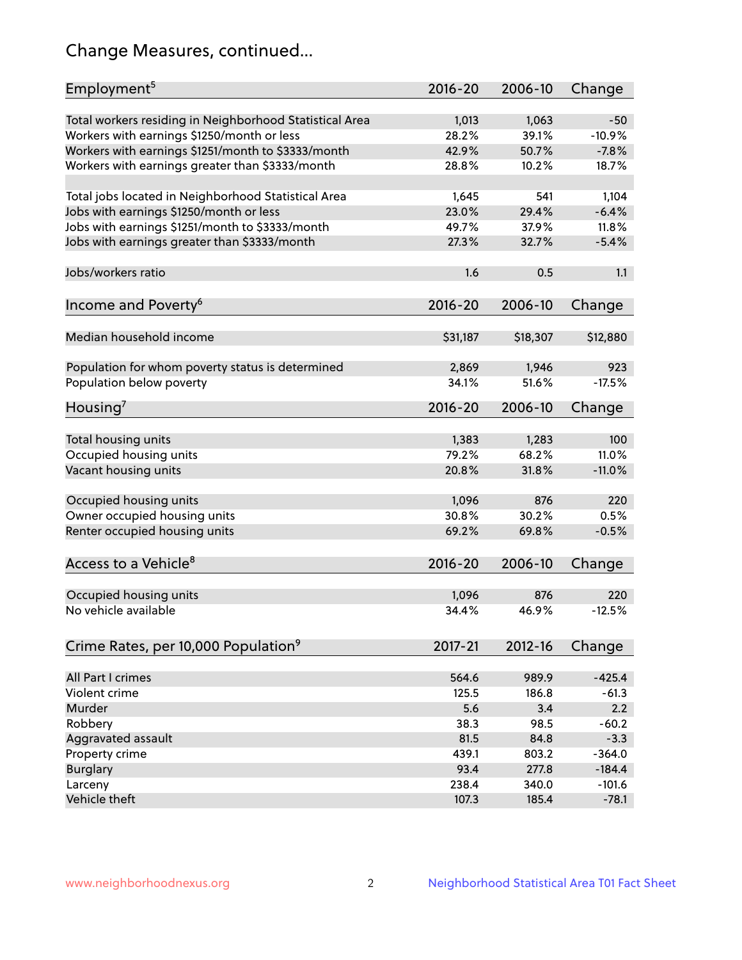## Change Measures, continued...

| Employment <sup>5</sup>                                                                          | $2016 - 20$    | 2006-10        | Change            |
|--------------------------------------------------------------------------------------------------|----------------|----------------|-------------------|
|                                                                                                  |                |                |                   |
| Total workers residing in Neighborhood Statistical Area                                          | 1,013<br>28.2% | 1,063<br>39.1% | $-50$<br>$-10.9%$ |
| Workers with earnings \$1250/month or less<br>Workers with earnings \$1251/month to \$3333/month | 42.9%          | 50.7%          | $-7.8%$           |
|                                                                                                  | 28.8%          | 10.2%          | 18.7%             |
| Workers with earnings greater than \$3333/month                                                  |                |                |                   |
| Total jobs located in Neighborhood Statistical Area                                              | 1,645          | 541            | 1,104             |
| Jobs with earnings \$1250/month or less                                                          | 23.0%          | 29.4%          | $-6.4%$           |
| Jobs with earnings \$1251/month to \$3333/month                                                  | 49.7%          | 37.9%          | 11.8%             |
| Jobs with earnings greater than \$3333/month                                                     | 27.3%          | 32.7%          | $-5.4%$           |
|                                                                                                  |                |                |                   |
| Jobs/workers ratio                                                                               | 1.6            | 0.5            | 1.1               |
|                                                                                                  |                |                |                   |
| Income and Poverty <sup>6</sup>                                                                  | 2016-20        | 2006-10        | Change            |
|                                                                                                  |                |                |                   |
| Median household income                                                                          | \$31,187       | \$18,307       | \$12,880          |
|                                                                                                  |                |                |                   |
| Population for whom poverty status is determined                                                 | 2,869          | 1,946          | 923               |
| Population below poverty                                                                         | 34.1%          | 51.6%          | $-17.5%$          |
|                                                                                                  |                |                |                   |
| Housing <sup>7</sup>                                                                             | 2016-20        | 2006-10        | Change            |
| Total housing units                                                                              | 1,383          | 1,283          | 100               |
|                                                                                                  | 79.2%          | 68.2%          | 11.0%             |
| Occupied housing units                                                                           |                |                | $-11.0%$          |
| Vacant housing units                                                                             | 20.8%          | 31.8%          |                   |
| Occupied housing units                                                                           | 1,096          | 876            | 220               |
| Owner occupied housing units                                                                     | 30.8%          | 30.2%          | 0.5%              |
| Renter occupied housing units                                                                    | 69.2%          | 69.8%          | $-0.5%$           |
|                                                                                                  |                |                |                   |
| Access to a Vehicle <sup>8</sup>                                                                 | $2016 - 20$    | 2006-10        |                   |
|                                                                                                  |                |                | Change            |
|                                                                                                  | 1,096          | 876            | 220               |
| Occupied housing units<br>No vehicle available                                                   | 34.4%          | 46.9%          | $-12.5%$          |
|                                                                                                  |                |                |                   |
|                                                                                                  |                |                |                   |
| Crime Rates, per 10,000 Population <sup>9</sup>                                                  | 2017-21        | 2012-16        | Change            |
| All Part I crimes                                                                                | 564.6          | 989.9          | $-425.4$          |
| Violent crime                                                                                    | 125.5          | 186.8          | $-61.3$           |
| Murder                                                                                           | 5.6            | 3.4            | 2.2               |
| Robbery                                                                                          | 38.3           | 98.5           | $-60.2$           |
|                                                                                                  | 81.5           | 84.8           | $-3.3$            |
| Aggravated assault                                                                               |                |                |                   |
| Property crime                                                                                   | 439.1          | 803.2          | $-364.0$          |
| <b>Burglary</b>                                                                                  | 93.4           | 277.8          | $-184.4$          |
| Larceny                                                                                          | 238.4          | 340.0          | $-101.6$          |
| Vehicle theft                                                                                    | 107.3          | 185.4          | $-78.1$           |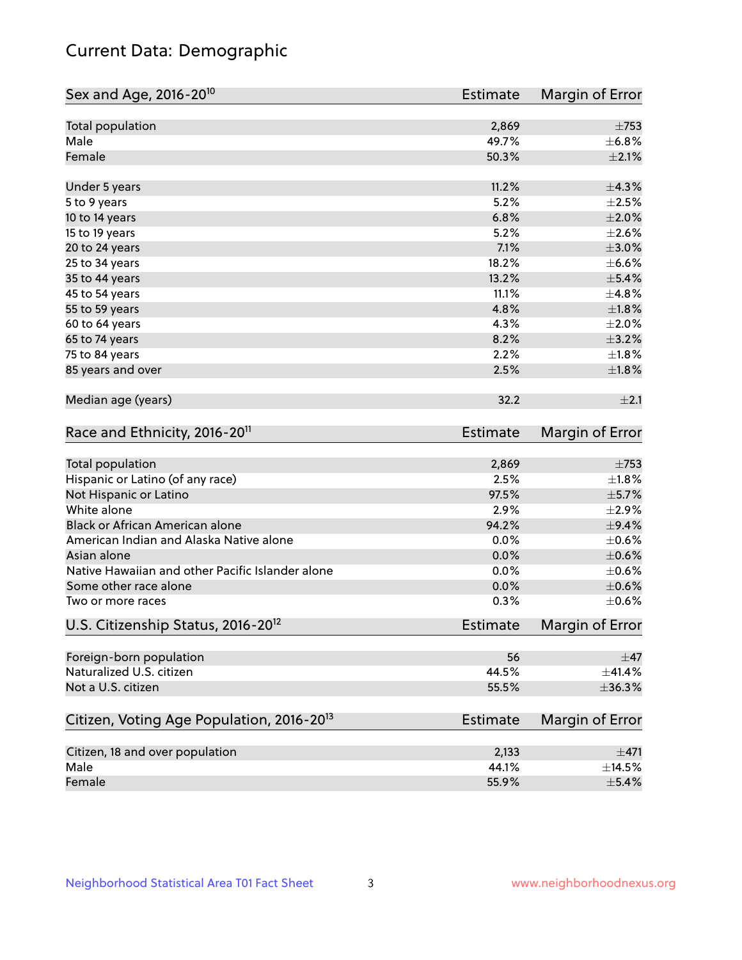## Current Data: Demographic

| Total population<br>2,869<br>Male<br>49.7%<br>Female<br>50.3%<br>11.2%<br>±4.3%<br>Under 5 years<br>5.2%<br>5 to 9 years<br>6.8%<br>10 to 14 years<br>5.2%<br>15 to 19 years<br>7.1%<br>20 to 24 years<br>18.2%<br>25 to 34 years<br>13.2%<br>35 to 44 years<br>11.1%<br>45 to 54 years<br>55 to 59 years<br>4.8%<br>4.3%<br>60 to 64 years<br>8.2%<br>65 to 74 years<br>2.2%<br>75 to 84 years<br>85 years and over<br>2.5%<br>Median age (years)<br>32.2<br>Race and Ethnicity, 2016-20 <sup>11</sup><br><b>Estimate</b><br>Total population<br>2,869<br>Hispanic or Latino (of any race)<br>2.5%<br>Not Hispanic or Latino<br>97.5%<br>White alone<br>2.9%<br>Black or African American alone<br>94.2%<br>American Indian and Alaska Native alone<br>0.0%<br>Asian alone<br>0.0%<br>Native Hawaiian and other Pacific Islander alone<br>0.0%<br>Some other race alone<br>0.0%<br>0.3%<br>Two or more races<br>U.S. Citizenship Status, 2016-20 <sup>12</sup><br><b>Estimate</b><br>Foreign-born population<br>56<br>Naturalized U.S. citizen<br>44.5%<br>Not a U.S. citizen<br>55.5%<br>Citizen, Voting Age Population, 2016-20 <sup>13</sup><br><b>Estimate</b><br>Citizen, 18 and over population<br>2,133<br>Male<br>44.1% | Sex and Age, 2016-20 <sup>10</sup> | <b>Estimate</b> | Margin of Error |
|----------------------------------------------------------------------------------------------------------------------------------------------------------------------------------------------------------------------------------------------------------------------------------------------------------------------------------------------------------------------------------------------------------------------------------------------------------------------------------------------------------------------------------------------------------------------------------------------------------------------------------------------------------------------------------------------------------------------------------------------------------------------------------------------------------------------------------------------------------------------------------------------------------------------------------------------------------------------------------------------------------------------------------------------------------------------------------------------------------------------------------------------------------------------------------------------------------------------------------|------------------------------------|-----------------|-----------------|
| ±6.8%<br>$\pm 2.1\%$                                                                                                                                                                                                                                                                                                                                                                                                                                                                                                                                                                                                                                                                                                                                                                                                                                                                                                                                                                                                                                                                                                                                                                                                             |                                    |                 | $\pm 753$       |
|                                                                                                                                                                                                                                                                                                                                                                                                                                                                                                                                                                                                                                                                                                                                                                                                                                                                                                                                                                                                                                                                                                                                                                                                                                  |                                    |                 |                 |
|                                                                                                                                                                                                                                                                                                                                                                                                                                                                                                                                                                                                                                                                                                                                                                                                                                                                                                                                                                                                                                                                                                                                                                                                                                  |                                    |                 |                 |
| $\pm 2.5\%$<br>$\pm 2.0\%$<br>$\pm 2.6\%$<br>$\pm 3.0\%$<br>$\pm$ 6.6%<br>$\pm$ 5.4%<br>±4.8%<br>±1.8%<br>$\pm 2.0\%$<br>$\pm$ 3.2%<br>$\pm1.8\%$<br>±1.8%<br>±2.1<br>Margin of Error<br>$\pm 753$<br>$\pm1.8\%$<br>$\pm$ 5.7%<br>$\pm 2.9\%$<br>$\pm$ 9.4%<br>$\pm$ 0.6%<br>$\pm$ 0.6%<br>$\pm$ 0.6%<br>$\pm$ 0.6%<br>$\pm$ 0.6%<br><b>Margin of Error</b><br>$\pm$ 47<br>±36.3%<br>Margin of Error                                                                                                                                                                                                                                                                                                                                                                                                                                                                                                                                                                                                                                                                                                                                                                                                                             |                                    |                 |                 |
|                                                                                                                                                                                                                                                                                                                                                                                                                                                                                                                                                                                                                                                                                                                                                                                                                                                                                                                                                                                                                                                                                                                                                                                                                                  |                                    |                 |                 |
|                                                                                                                                                                                                                                                                                                                                                                                                                                                                                                                                                                                                                                                                                                                                                                                                                                                                                                                                                                                                                                                                                                                                                                                                                                  |                                    |                 |                 |
|                                                                                                                                                                                                                                                                                                                                                                                                                                                                                                                                                                                                                                                                                                                                                                                                                                                                                                                                                                                                                                                                                                                                                                                                                                  |                                    |                 |                 |
|                                                                                                                                                                                                                                                                                                                                                                                                                                                                                                                                                                                                                                                                                                                                                                                                                                                                                                                                                                                                                                                                                                                                                                                                                                  |                                    |                 |                 |
|                                                                                                                                                                                                                                                                                                                                                                                                                                                                                                                                                                                                                                                                                                                                                                                                                                                                                                                                                                                                                                                                                                                                                                                                                                  |                                    |                 |                 |
|                                                                                                                                                                                                                                                                                                                                                                                                                                                                                                                                                                                                                                                                                                                                                                                                                                                                                                                                                                                                                                                                                                                                                                                                                                  |                                    |                 |                 |
|                                                                                                                                                                                                                                                                                                                                                                                                                                                                                                                                                                                                                                                                                                                                                                                                                                                                                                                                                                                                                                                                                                                                                                                                                                  |                                    |                 |                 |
|                                                                                                                                                                                                                                                                                                                                                                                                                                                                                                                                                                                                                                                                                                                                                                                                                                                                                                                                                                                                                                                                                                                                                                                                                                  |                                    |                 |                 |
|                                                                                                                                                                                                                                                                                                                                                                                                                                                                                                                                                                                                                                                                                                                                                                                                                                                                                                                                                                                                                                                                                                                                                                                                                                  |                                    |                 |                 |
|                                                                                                                                                                                                                                                                                                                                                                                                                                                                                                                                                                                                                                                                                                                                                                                                                                                                                                                                                                                                                                                                                                                                                                                                                                  |                                    |                 |                 |
|                                                                                                                                                                                                                                                                                                                                                                                                                                                                                                                                                                                                                                                                                                                                                                                                                                                                                                                                                                                                                                                                                                                                                                                                                                  |                                    |                 |                 |
|                                                                                                                                                                                                                                                                                                                                                                                                                                                                                                                                                                                                                                                                                                                                                                                                                                                                                                                                                                                                                                                                                                                                                                                                                                  |                                    |                 |                 |
|                                                                                                                                                                                                                                                                                                                                                                                                                                                                                                                                                                                                                                                                                                                                                                                                                                                                                                                                                                                                                                                                                                                                                                                                                                  |                                    |                 |                 |
|                                                                                                                                                                                                                                                                                                                                                                                                                                                                                                                                                                                                                                                                                                                                                                                                                                                                                                                                                                                                                                                                                                                                                                                                                                  |                                    |                 |                 |
|                                                                                                                                                                                                                                                                                                                                                                                                                                                                                                                                                                                                                                                                                                                                                                                                                                                                                                                                                                                                                                                                                                                                                                                                                                  |                                    |                 |                 |
|                                                                                                                                                                                                                                                                                                                                                                                                                                                                                                                                                                                                                                                                                                                                                                                                                                                                                                                                                                                                                                                                                                                                                                                                                                  |                                    |                 |                 |
|                                                                                                                                                                                                                                                                                                                                                                                                                                                                                                                                                                                                                                                                                                                                                                                                                                                                                                                                                                                                                                                                                                                                                                                                                                  |                                    |                 |                 |
|                                                                                                                                                                                                                                                                                                                                                                                                                                                                                                                                                                                                                                                                                                                                                                                                                                                                                                                                                                                                                                                                                                                                                                                                                                  |                                    |                 |                 |
|                                                                                                                                                                                                                                                                                                                                                                                                                                                                                                                                                                                                                                                                                                                                                                                                                                                                                                                                                                                                                                                                                                                                                                                                                                  |                                    |                 |                 |
|                                                                                                                                                                                                                                                                                                                                                                                                                                                                                                                                                                                                                                                                                                                                                                                                                                                                                                                                                                                                                                                                                                                                                                                                                                  |                                    |                 |                 |
|                                                                                                                                                                                                                                                                                                                                                                                                                                                                                                                                                                                                                                                                                                                                                                                                                                                                                                                                                                                                                                                                                                                                                                                                                                  |                                    |                 |                 |
|                                                                                                                                                                                                                                                                                                                                                                                                                                                                                                                                                                                                                                                                                                                                                                                                                                                                                                                                                                                                                                                                                                                                                                                                                                  |                                    |                 |                 |
|                                                                                                                                                                                                                                                                                                                                                                                                                                                                                                                                                                                                                                                                                                                                                                                                                                                                                                                                                                                                                                                                                                                                                                                                                                  |                                    |                 |                 |
|                                                                                                                                                                                                                                                                                                                                                                                                                                                                                                                                                                                                                                                                                                                                                                                                                                                                                                                                                                                                                                                                                                                                                                                                                                  |                                    |                 |                 |
|                                                                                                                                                                                                                                                                                                                                                                                                                                                                                                                                                                                                                                                                                                                                                                                                                                                                                                                                                                                                                                                                                                                                                                                                                                  |                                    |                 |                 |
| $\pm$ 41.4%<br>±471<br>±14.5%                                                                                                                                                                                                                                                                                                                                                                                                                                                                                                                                                                                                                                                                                                                                                                                                                                                                                                                                                                                                                                                                                                                                                                                                    |                                    |                 |                 |
|                                                                                                                                                                                                                                                                                                                                                                                                                                                                                                                                                                                                                                                                                                                                                                                                                                                                                                                                                                                                                                                                                                                                                                                                                                  |                                    |                 |                 |
|                                                                                                                                                                                                                                                                                                                                                                                                                                                                                                                                                                                                                                                                                                                                                                                                                                                                                                                                                                                                                                                                                                                                                                                                                                  |                                    |                 |                 |
|                                                                                                                                                                                                                                                                                                                                                                                                                                                                                                                                                                                                                                                                                                                                                                                                                                                                                                                                                                                                                                                                                                                                                                                                                                  |                                    |                 |                 |
|                                                                                                                                                                                                                                                                                                                                                                                                                                                                                                                                                                                                                                                                                                                                                                                                                                                                                                                                                                                                                                                                                                                                                                                                                                  |                                    |                 |                 |
|                                                                                                                                                                                                                                                                                                                                                                                                                                                                                                                                                                                                                                                                                                                                                                                                                                                                                                                                                                                                                                                                                                                                                                                                                                  |                                    |                 |                 |
|                                                                                                                                                                                                                                                                                                                                                                                                                                                                                                                                                                                                                                                                                                                                                                                                                                                                                                                                                                                                                                                                                                                                                                                                                                  | Female                             | 55.9%           | $\pm$ 5.4%      |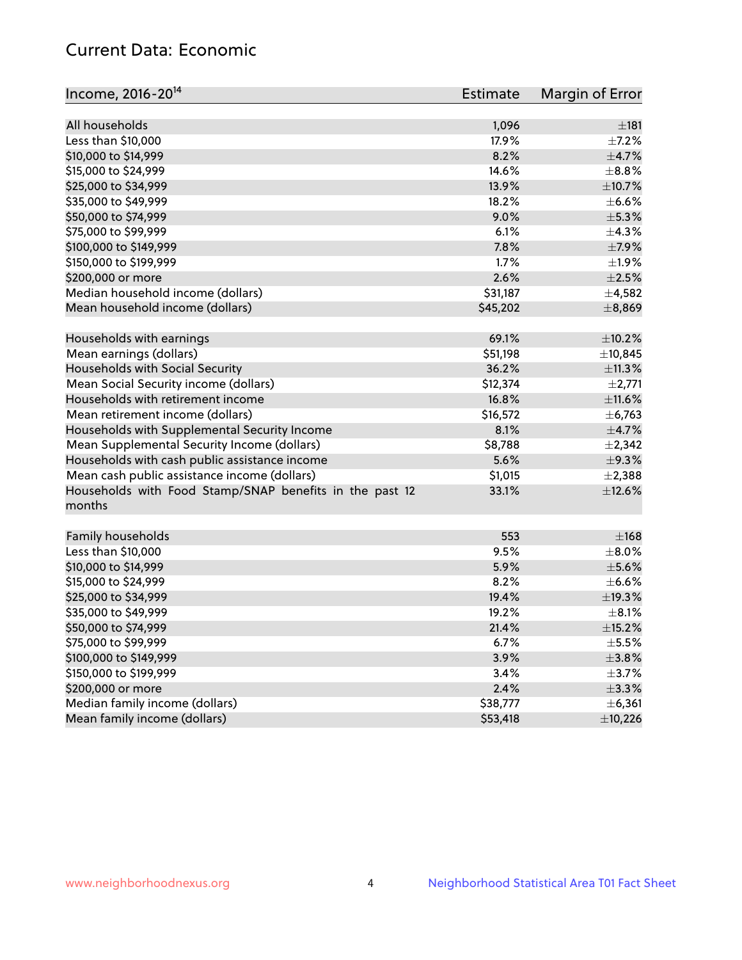## Current Data: Economic

| Income, 2016-20 <sup>14</sup>                                     | Estimate       | Margin of Error |
|-------------------------------------------------------------------|----------------|-----------------|
| All households                                                    |                | ±181            |
| Less than \$10,000                                                | 1,096<br>17.9% | $\pm$ 7.2%      |
|                                                                   | 8.2%           | $\pm$ 4.7%      |
| \$10,000 to \$14,999                                              |                | $\pm$ 8.8%      |
| \$15,000 to \$24,999                                              | 14.6%          |                 |
| \$25,000 to \$34,999                                              | 13.9%          | $\pm$ 10.7%     |
| \$35,000 to \$49,999                                              | 18.2%          | $\pm$ 6.6%      |
| \$50,000 to \$74,999                                              | 9.0%           | $\pm$ 5.3%      |
| \$75,000 to \$99,999                                              | 6.1%           | ±4.3%           |
| \$100,000 to \$149,999                                            | 7.8%           | $\pm$ 7.9%      |
| \$150,000 to \$199,999                                            | 1.7%           | ±1.9%           |
| \$200,000 or more                                                 | 2.6%           | $\pm 2.5\%$     |
| Median household income (dollars)                                 | \$31,187       | ±4,582          |
| Mean household income (dollars)                                   | \$45,202       | ±8,869          |
| Households with earnings                                          | 69.1%          | $\pm$ 10.2%     |
| Mean earnings (dollars)                                           | \$51,198       | ±10,845         |
| Households with Social Security                                   | 36.2%          | ±11.3%          |
| Mean Social Security income (dollars)                             | \$12,374       | ±2,771          |
| Households with retirement income                                 | 16.8%          | ±11.6%          |
| Mean retirement income (dollars)                                  | \$16,572       | $\pm$ 6,763     |
| Households with Supplemental Security Income                      | 8.1%           | $\pm$ 4.7%      |
| Mean Supplemental Security Income (dollars)                       | \$8,788        | $\pm 2,342$     |
| Households with cash public assistance income                     | 5.6%           | $\pm$ 9.3%      |
| Mean cash public assistance income (dollars)                      | \$1,015        | $\pm 2,388$     |
| Households with Food Stamp/SNAP benefits in the past 12<br>months | 33.1%          | ±12.6%          |
| Family households                                                 | 553            | ±168            |
| Less than \$10,000                                                | 9.5%           | $\pm$ 8.0%      |
| \$10,000 to \$14,999                                              | 5.9%           | $\pm$ 5.6%      |
| \$15,000 to \$24,999                                              | 8.2%           | $\pm$ 6.6%      |
| \$25,000 to \$34,999                                              | 19.4%          | ±19.3%          |
| \$35,000 to \$49,999                                              | 19.2%          | $\pm$ 8.1%      |
| \$50,000 to \$74,999                                              | 21.4%          | $\pm$ 15.2%     |
| \$75,000 to \$99,999                                              | 6.7%           | $\pm$ 5.5%      |
| \$100,000 to \$149,999                                            | 3.9%           | $\pm$ 3.8%      |
| \$150,000 to \$199,999                                            | 3.4%           | $\pm$ 3.7%      |
| \$200,000 or more                                                 | 2.4%           | $\pm$ 3.3%      |
| Median family income (dollars)                                    | \$38,777       | ± 6,361         |
| Mean family income (dollars)                                      | \$53,418       | ±10,226         |
|                                                                   |                |                 |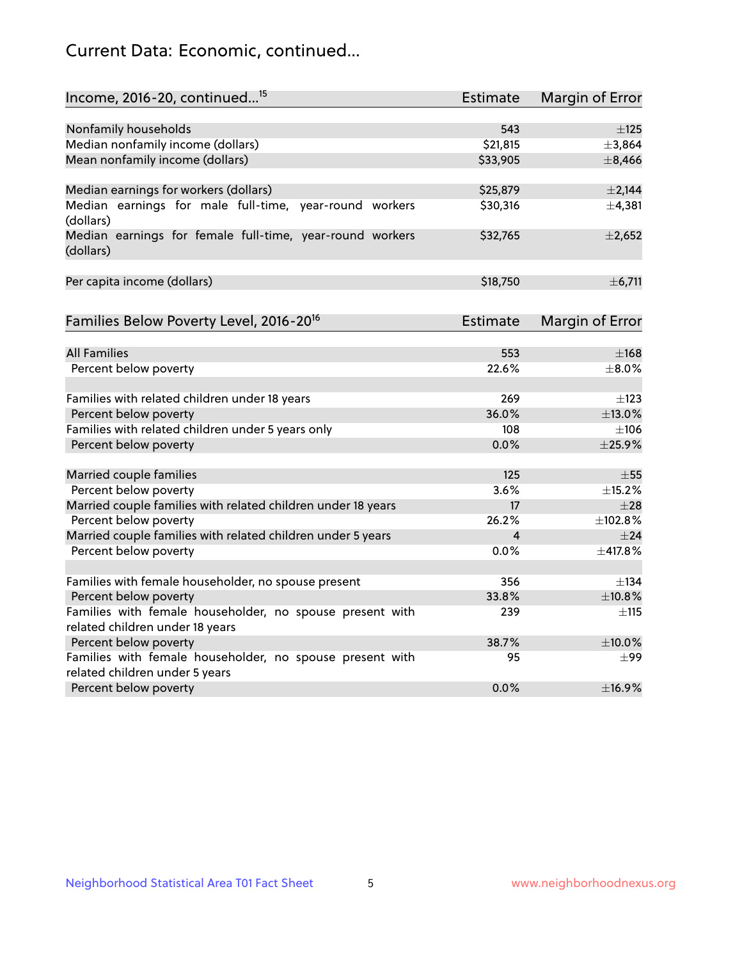## Current Data: Economic, continued...

| Income, 2016-20, continued <sup>15</sup>                                                    | <b>Estimate</b> | <b>Margin of Error</b> |
|---------------------------------------------------------------------------------------------|-----------------|------------------------|
|                                                                                             |                 |                        |
| Nonfamily households                                                                        | 543             | $\pm$ 125              |
| Median nonfamily income (dollars)                                                           | \$21,815        | ±3,864                 |
| Mean nonfamily income (dollars)                                                             | \$33,905        | ±8,466                 |
| Median earnings for workers (dollars)                                                       | \$25,879        | ±2,144                 |
| Median earnings for male full-time, year-round workers<br>(dollars)                         | \$30,316        | ±4,381                 |
| Median earnings for female full-time, year-round workers<br>(dollars)                       | \$32,765        | $\pm 2,652$            |
| Per capita income (dollars)                                                                 | \$18,750        | ±6,711                 |
| Families Below Poverty Level, 2016-20 <sup>16</sup>                                         | <b>Estimate</b> | <b>Margin of Error</b> |
|                                                                                             |                 |                        |
| <b>All Families</b>                                                                         | 553             | $\pm$ 168              |
| Percent below poverty                                                                       | 22.6%           | $\pm$ 8.0%             |
| Families with related children under 18 years                                               | 269             | $\pm$ 123              |
| Percent below poverty                                                                       | 36.0%           | ±13.0%                 |
| Families with related children under 5 years only                                           | 108             | $\pm 106$              |
| Percent below poverty                                                                       | 0.0%            | ±25.9%                 |
| Married couple families                                                                     | 125             | $\pm 55$               |
| Percent below poverty                                                                       | 3.6%            | ±15.2%                 |
| Married couple families with related children under 18 years                                | 17              | $\pm 28$               |
| Percent below poverty                                                                       | 26.2%           | ±102.8%                |
| Married couple families with related children under 5 years                                 | 4               | $\pm$ 24               |
| Percent below poverty                                                                       | $0.0\%$         | ±417.8%                |
|                                                                                             |                 |                        |
| Families with female householder, no spouse present                                         | 356             | $\pm$ 134              |
| Percent below poverty                                                                       | 33.8%           | ±10.8%                 |
| Families with female householder, no spouse present with<br>related children under 18 years | 239             | $\pm$ 115              |
| Percent below poverty                                                                       | 38.7%           | ±10.0%                 |
| Families with female householder, no spouse present with                                    | 95              |                        |
| related children under 5 years                                                              |                 | $\pm 99$               |
| Percent below poverty                                                                       | 0.0%            | ±16.9%                 |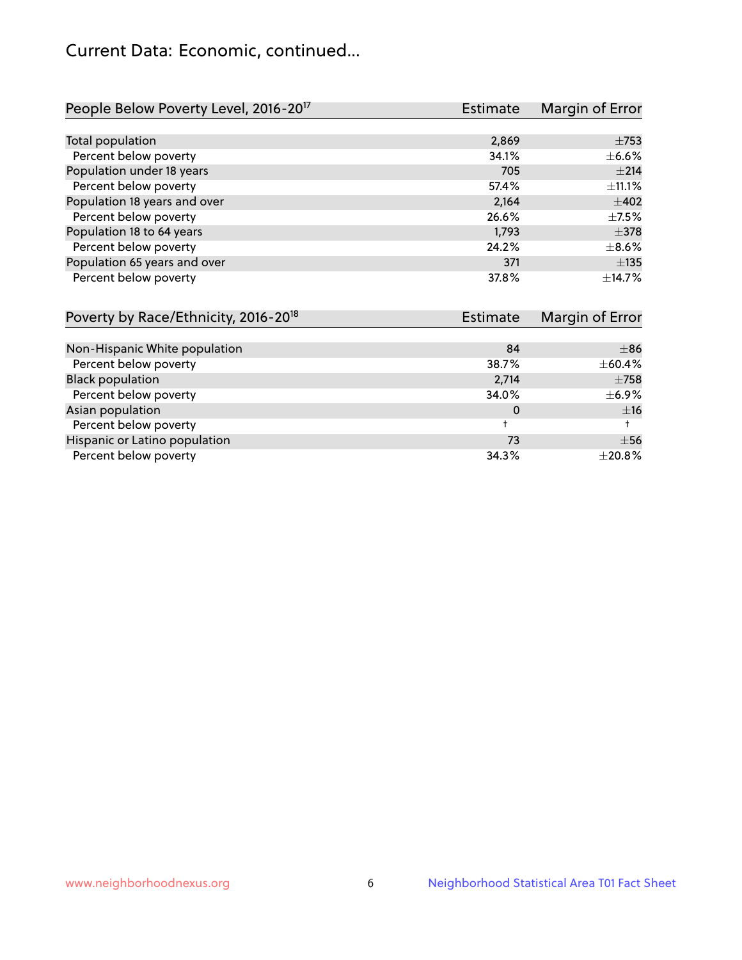## Current Data: Economic, continued...

| People Below Poverty Level, 2016-20 <sup>17</sup> | <b>Estimate</b> | Margin of Error |
|---------------------------------------------------|-----------------|-----------------|
|                                                   |                 |                 |
| Total population                                  | 2,869           | $\pm$ 753       |
| Percent below poverty                             | 34.1%           | $\pm$ 6.6%      |
| Population under 18 years                         | 705             | ±214            |
| Percent below poverty                             | 57.4%           | ±11.1%          |
| Population 18 years and over                      | 2,164           | $\pm 402$       |
| Percent below poverty                             | 26.6%           | $\pm$ 7.5%      |
| Population 18 to 64 years                         | 1,793           | $\pm$ 378       |
| Percent below poverty                             | 24.2%           | $\pm$ 8.6%      |
| Population 65 years and over                      | 371             | $\pm$ 135       |
| Percent below poverty                             | 37.8%           | ±14.7%          |

| Poverty by Race/Ethnicity, 2016-20 <sup>18</sup> | Estimate |              |
|--------------------------------------------------|----------|--------------|
|                                                  |          |              |
| Non-Hispanic White population                    | 84       | $\pm$ 86     |
| Percent below poverty                            | 38.7%    | $\pm$ 60.4%  |
| <b>Black population</b>                          | 2,714    | $\pm 758$    |
| Percent below poverty                            | 34.0%    | $\pm$ 6.9%   |
| Asian population                                 | 0        | ±16          |
| Percent below poverty                            |          |              |
| Hispanic or Latino population                    | 73       | $\pm$ 56     |
| Percent below poverty                            | 34.3%    | $\pm 20.8\%$ |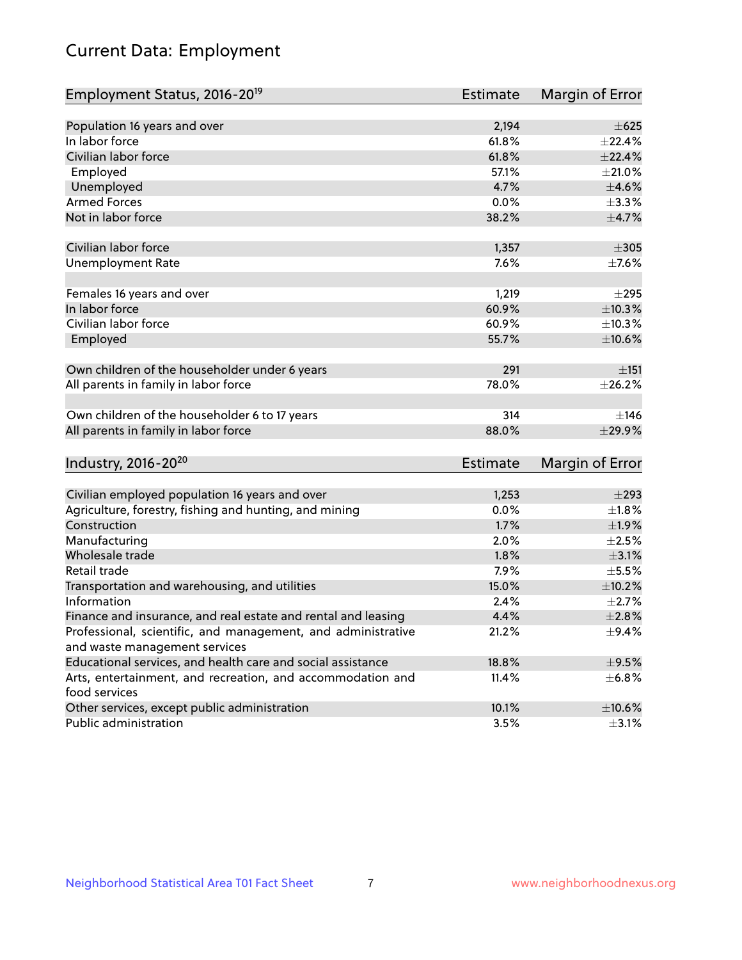# Current Data: Employment

| Employment Status, 2016-20 <sup>19</sup>                      | <b>Estimate</b> | Margin of Error |
|---------------------------------------------------------------|-----------------|-----------------|
|                                                               |                 |                 |
| Population 16 years and over                                  | 2,194           | $\pm 625$       |
| In labor force                                                | 61.8%           | ±22.4%          |
| Civilian labor force                                          | 61.8%           | $\pm$ 22.4%     |
| Employed                                                      | 57.1%           | $\pm 21.0\%$    |
| Unemployed                                                    | 4.7%            | $\pm 4.6\%$     |
| <b>Armed Forces</b>                                           | 0.0%            | ±3.3%           |
| Not in labor force                                            | 38.2%           | $\pm$ 4.7%      |
| Civilian labor force                                          | 1,357           | $\pm 305$       |
| <b>Unemployment Rate</b>                                      | 7.6%            | $\pm$ 7.6%      |
|                                                               |                 |                 |
| Females 16 years and over                                     | 1,219           | $\pm 295$       |
| In labor force                                                | 60.9%           | ±10.3%          |
| Civilian labor force                                          | 60.9%           | ±10.3%          |
| Employed                                                      | 55.7%           | $\pm 10.6\%$    |
|                                                               |                 |                 |
| Own children of the householder under 6 years                 | 291             | $\pm$ 151       |
| All parents in family in labor force                          | 78.0%           | ±26.2%          |
|                                                               |                 |                 |
| Own children of the householder 6 to 17 years                 | 314             | ±146            |
| All parents in family in labor force                          | 88.0%           | ±29.9%          |
|                                                               |                 |                 |
| Industry, 2016-20 <sup>20</sup>                               | Estimate        | Margin of Error |
|                                                               |                 |                 |
| Civilian employed population 16 years and over                | 1,253           | $\pm 293$       |
| Agriculture, forestry, fishing and hunting, and mining        | 0.0%            | $\pm1.8\%$      |
| Construction                                                  | 1.7%            | ±1.9%           |
| Manufacturing                                                 | 2.0%            | $\pm 2.5\%$     |
| Wholesale trade                                               | 1.8%            | $\pm$ 3.1%      |
| Retail trade                                                  | 7.9%            | $\pm$ 5.5%      |
| Transportation and warehousing, and utilities                 | 15.0%           | $\pm$ 10.2%     |
| Information                                                   | 2.4%            | $\pm 2.7\%$     |
| Finance and insurance, and real estate and rental and leasing | 4.4%            | $\pm 2.8\%$     |
| Professional, scientific, and management, and administrative  | 21.2%           | $\pm$ 9.4%      |
| and waste management services                                 |                 |                 |
| Educational services, and health care and social assistance   | 18.8%           | $\pm$ 9.5%      |
| Arts, entertainment, and recreation, and accommodation and    | 11.4%           | $\pm$ 6.8%      |
| food services                                                 |                 |                 |
| Other services, except public administration                  | 10.1%           | $\pm 10.6\%$    |
| Public administration                                         | 3.5%            | $\pm$ 3.1%      |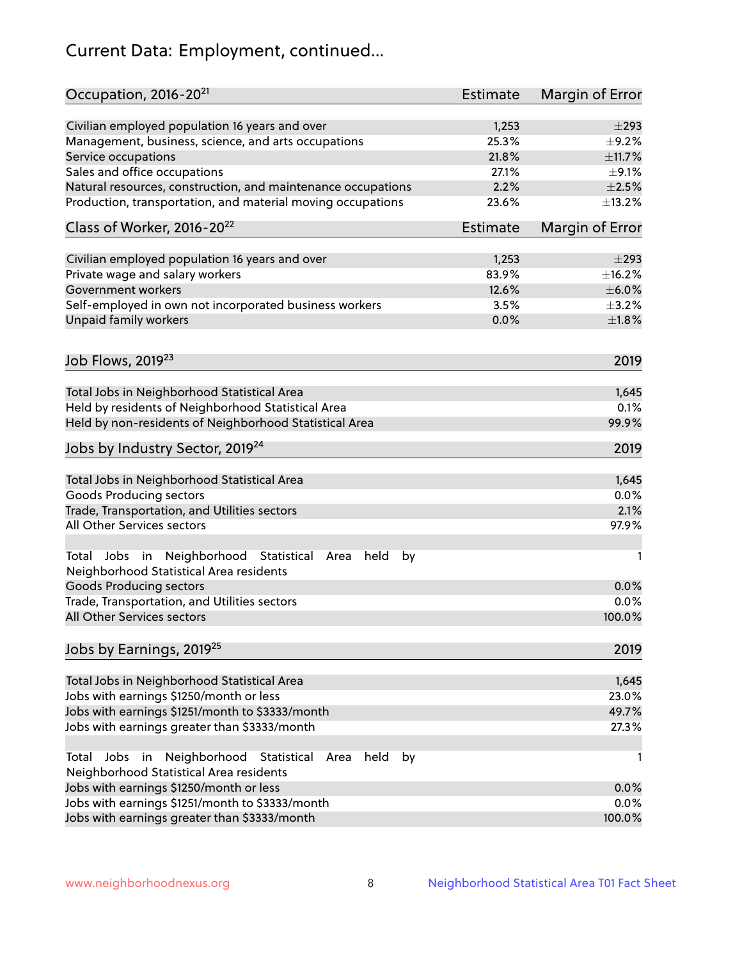# Current Data: Employment, continued...

| Occupation, 2016-20 <sup>21</sup>                                                                       | <b>Estimate</b> | Margin of Error |
|---------------------------------------------------------------------------------------------------------|-----------------|-----------------|
| Civilian employed population 16 years and over                                                          | 1,253           | $\pm 293$       |
| Management, business, science, and arts occupations                                                     | 25.3%           | $\pm$ 9.2%      |
| Service occupations                                                                                     | 21.8%           | ±11.7%          |
| Sales and office occupations                                                                            | 27.1%           | $\pm$ 9.1%      |
| Natural resources, construction, and maintenance occupations                                            | 2.2%            | $\pm 2.5\%$     |
| Production, transportation, and material moving occupations                                             | 23.6%           | ±13.2%          |
| Class of Worker, 2016-20 <sup>22</sup>                                                                  | Estimate        | Margin of Error |
| Civilian employed population 16 years and over                                                          | 1,253           | $\pm$ 293       |
| Private wage and salary workers                                                                         | 83.9%           | ±16.2%          |
| Government workers                                                                                      | 12.6%           | $\pm$ 6.0%      |
| Self-employed in own not incorporated business workers                                                  | 3.5%            | $\pm$ 3.2%      |
| Unpaid family workers                                                                                   | 0.0%            | $\pm 1.8\%$     |
|                                                                                                         |                 |                 |
| Job Flows, 2019 <sup>23</sup>                                                                           |                 | 2019            |
| Total Jobs in Neighborhood Statistical Area                                                             |                 | 1,645           |
| Held by residents of Neighborhood Statistical Area                                                      |                 | 0.1%            |
| Held by non-residents of Neighborhood Statistical Area                                                  |                 | 99.9%           |
| Jobs by Industry Sector, 2019 <sup>24</sup>                                                             |                 | 2019            |
| Total Jobs in Neighborhood Statistical Area                                                             |                 | 1,645           |
| <b>Goods Producing sectors</b>                                                                          |                 | 0.0%            |
| Trade, Transportation, and Utilities sectors                                                            |                 | 2.1%            |
| All Other Services sectors                                                                              |                 | 97.9%           |
| Total Jobs in Neighborhood Statistical<br>held<br>by<br>Area<br>Neighborhood Statistical Area residents |                 | 1               |
| <b>Goods Producing sectors</b>                                                                          |                 | 0.0%            |
| Trade, Transportation, and Utilities sectors                                                            |                 | 0.0%            |
| All Other Services sectors                                                                              |                 | 100.0%          |
| Jobs by Earnings, 2019 <sup>25</sup>                                                                    |                 | 2019            |
| Total Jobs in Neighborhood Statistical Area                                                             |                 | 1,645           |
| Jobs with earnings \$1250/month or less                                                                 |                 | 23.0%           |
| Jobs with earnings \$1251/month to \$3333/month                                                         |                 | 49.7%           |
| Jobs with earnings greater than \$3333/month                                                            |                 | 27.3%           |
| Neighborhood Statistical<br>Jobs<br>in<br>held<br>by<br>Total<br>Area                                   |                 | 1               |
| Neighborhood Statistical Area residents                                                                 |                 |                 |
| Jobs with earnings \$1250/month or less                                                                 |                 | 0.0%            |
| Jobs with earnings \$1251/month to \$3333/month                                                         |                 | 0.0%            |
| Jobs with earnings greater than \$3333/month                                                            |                 | 100.0%          |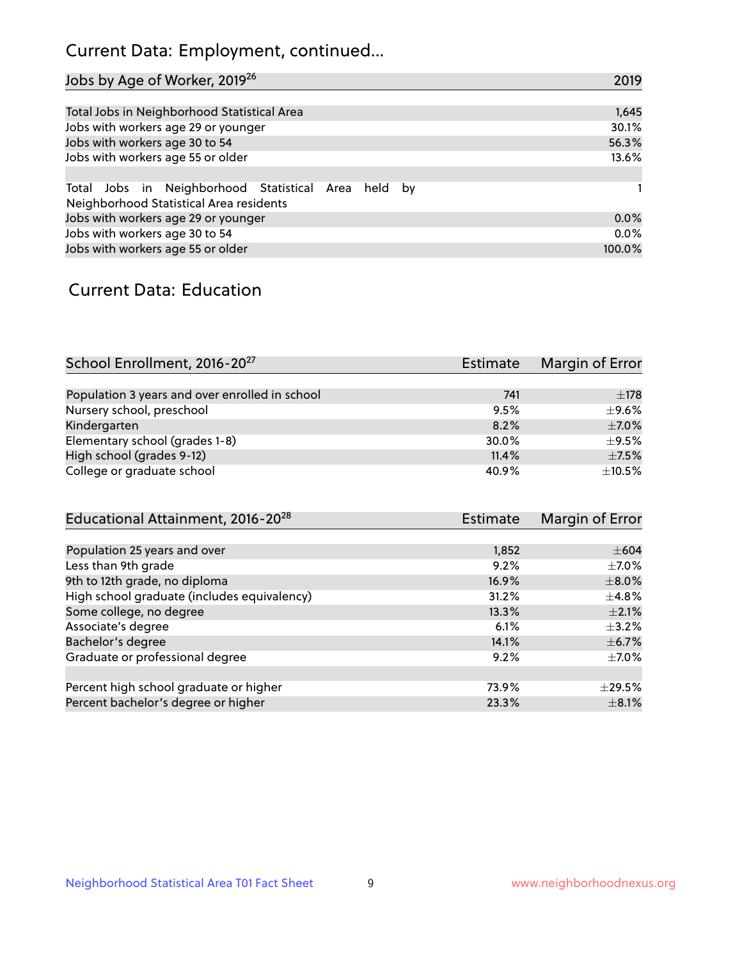## Current Data: Employment, continued...

| Jobs by Age of Worker, 2019 <sup>26</sup>                                                      | 2019   |
|------------------------------------------------------------------------------------------------|--------|
|                                                                                                |        |
| Total Jobs in Neighborhood Statistical Area                                                    | 1,645  |
| Jobs with workers age 29 or younger                                                            | 30.1%  |
| Jobs with workers age 30 to 54                                                                 | 56.3%  |
| Jobs with workers age 55 or older                                                              | 13.6%  |
|                                                                                                |        |
| Total Jobs in Neighborhood Statistical Area held by<br>Neighborhood Statistical Area residents |        |
| Jobs with workers age 29 or younger                                                            | 0.0%   |
| Jobs with workers age 30 to 54                                                                 | 0.0%   |
| Jobs with workers age 55 or older                                                              | 100.0% |

### Current Data: Education

| School Enrollment, 2016-20 <sup>27</sup>       | <b>Estimate</b> | Margin of Error |
|------------------------------------------------|-----------------|-----------------|
|                                                |                 |                 |
| Population 3 years and over enrolled in school | 741             | $\pm$ 178       |
| Nursery school, preschool                      | 9.5%            | $\pm$ 9.6%      |
| Kindergarten                                   | 8.2%            | $\pm$ 7.0%      |
| Elementary school (grades 1-8)                 | 30.0%           | $\pm$ 9.5%      |
| High school (grades 9-12)                      | 11.4%           | $\pm$ 7.5%      |
| College or graduate school                     | 40.9%           | $\pm$ 10.5%     |

| Educational Attainment, 2016-20 <sup>28</sup> | Estimate | Margin of Error |
|-----------------------------------------------|----------|-----------------|
|                                               |          |                 |
| Population 25 years and over                  | 1,852    | $\pm 604$       |
| Less than 9th grade                           | 9.2%     | $\pm$ 7.0%      |
| 9th to 12th grade, no diploma                 | 16.9%    | $\pm 8.0\%$     |
| High school graduate (includes equivalency)   | 31.2%    | $\pm$ 4.8%      |
| Some college, no degree                       | 13.3%    | $\pm 2.1\%$     |
| Associate's degree                            | 6.1%     | $\pm$ 3.2%      |
| Bachelor's degree                             | 14.1%    | $\pm$ 6.7%      |
| Graduate or professional degree               | 9.2%     | $\pm$ 7.0%      |
|                                               |          |                 |
| Percent high school graduate or higher        | 73.9%    | $\pm$ 29.5%     |
| Percent bachelor's degree or higher           | 23.3%    | $\pm$ 8.1%      |
|                                               |          |                 |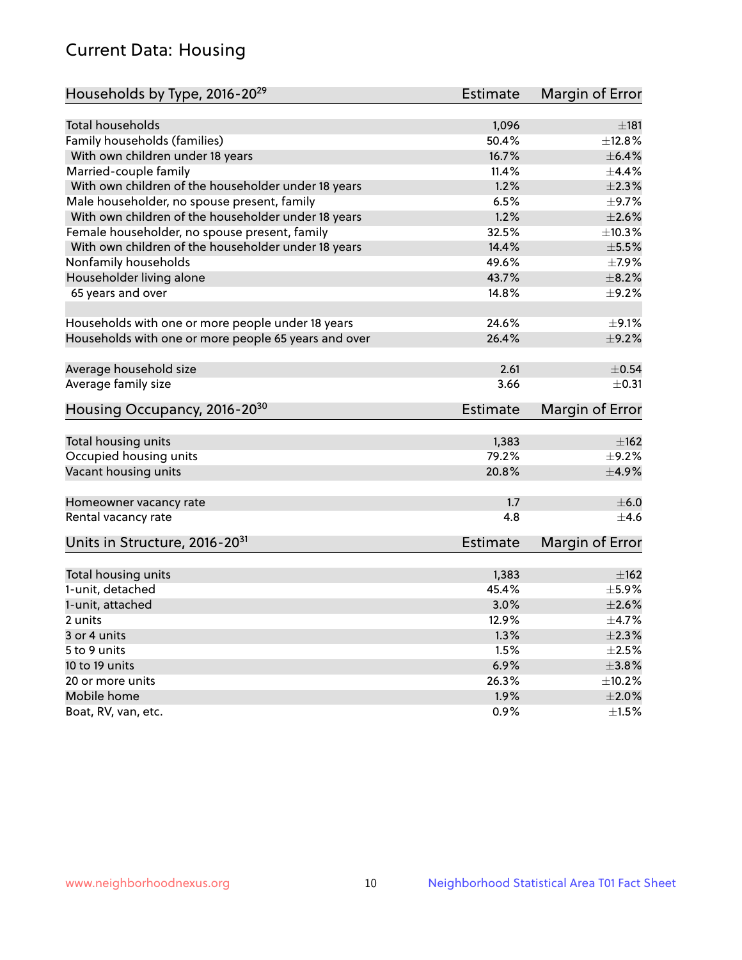## Current Data: Housing

| Households by Type, 2016-20 <sup>29</sup>            | <b>Estimate</b> | Margin of Error          |
|------------------------------------------------------|-----------------|--------------------------|
|                                                      |                 |                          |
| Total households                                     | 1,096           | ±181                     |
| Family households (families)                         | 50.4%           | ±12.8%                   |
| With own children under 18 years                     | 16.7%           | $\pm$ 6.4%               |
| Married-couple family                                | 11.4%           | $\pm$ 4.4%               |
| With own children of the householder under 18 years  | 1.2%            | $\pm 2.3\%$              |
| Male householder, no spouse present, family          | 6.5%            | $\pm$ 9.7%               |
| With own children of the householder under 18 years  | 1.2%            | $\pm 2.6\%$              |
| Female householder, no spouse present, family        | 32.5%           | ±10.3%                   |
| With own children of the householder under 18 years  | 14.4%           | $\pm$ 5.5%               |
| Nonfamily households                                 | 49.6%           | $\pm$ 7.9%               |
| Householder living alone                             | 43.7%           | $\pm$ 8.2%               |
| 65 years and over                                    | 14.8%           | $\pm$ 9.2%               |
|                                                      |                 |                          |
| Households with one or more people under 18 years    | 24.6%           | $\pm$ 9.1%               |
| Households with one or more people 65 years and over | 26.4%           | $\pm$ 9.2%               |
|                                                      |                 |                          |
| Average household size                               | 2.61            | $\pm$ 0.54               |
| Average family size                                  | 3.66            | $+0.31$                  |
| Housing Occupancy, 2016-20 <sup>30</sup>             | <b>Estimate</b> | Margin of Error          |
|                                                      |                 |                          |
| Total housing units                                  | 1,383<br>79.2%  | ±162                     |
| Occupied housing units                               | 20.8%           | $\pm$ 9.2%<br>$\pm$ 4.9% |
| Vacant housing units                                 |                 |                          |
| Homeowner vacancy rate                               | 1.7             | $\pm$ 6.0                |
| Rental vacancy rate                                  | 4.8             | $+4.6$                   |
| Units in Structure, 2016-20 <sup>31</sup>            | Estimate        | Margin of Error          |
|                                                      |                 |                          |
| Total housing units                                  | 1,383           | $\pm 162$                |
| 1-unit, detached                                     | 45.4%           | $\pm$ 5.9%               |
| 1-unit, attached                                     | 3.0%            | $\pm 2.6\%$              |
| 2 units                                              | 12.9%           | ±4.7%                    |
| 3 or 4 units                                         | 1.3%            | $\pm 2.3\%$              |
| 5 to 9 units                                         | 1.5%            | $\pm 2.5\%$              |
| 10 to 19 units                                       | 6.9%            | $\pm$ 3.8%               |
| 20 or more units                                     | 26.3%           | ±10.2%                   |
| Mobile home                                          | 1.9%            | $\pm 2.0\%$              |
| Boat, RV, van, etc.                                  | 0.9%            | $\pm 1.5\%$              |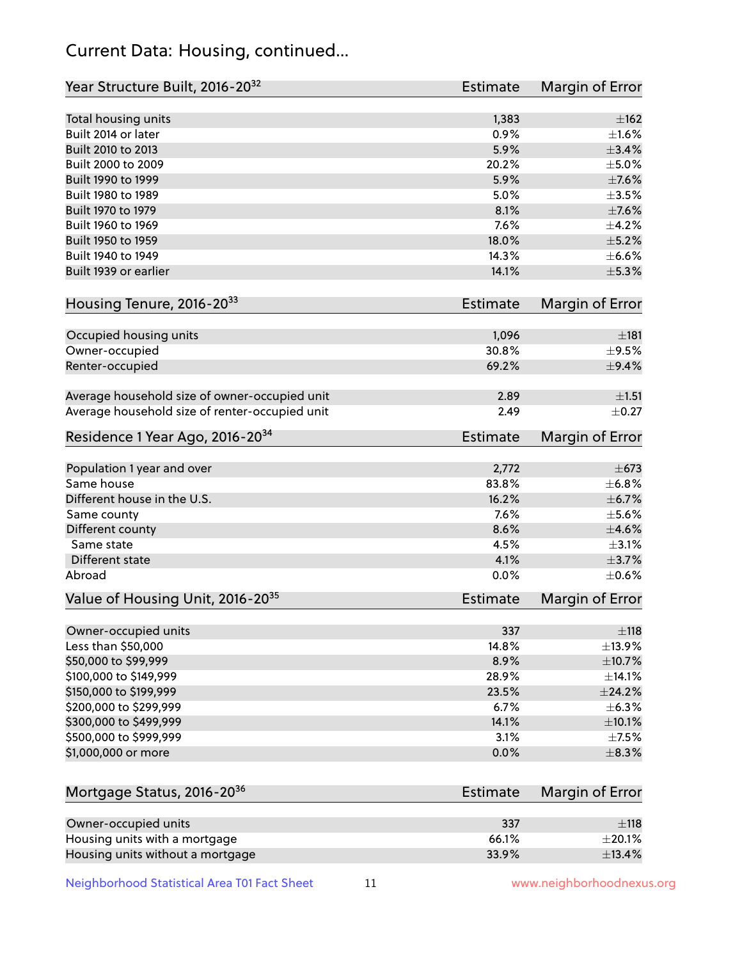## Current Data: Housing, continued...

| Year Structure Built, 2016-20 <sup>32</sup>    | <b>Estimate</b> | Margin of Error |
|------------------------------------------------|-----------------|-----------------|
| Total housing units                            | 1,383           | $\pm 162$       |
| Built 2014 or later                            | 0.9%            | $\pm 1.6\%$     |
| Built 2010 to 2013                             | 5.9%            | $\pm$ 3.4%      |
| Built 2000 to 2009                             | 20.2%           | $\pm$ 5.0%      |
| Built 1990 to 1999                             | 5.9%            | $\pm$ 7.6%      |
| Built 1980 to 1989                             | 5.0%            | $\pm$ 3.5%      |
| Built 1970 to 1979                             | 8.1%            | $\pm$ 7.6%      |
| Built 1960 to 1969                             | 7.6%            | $\pm$ 4.2%      |
| Built 1950 to 1959                             | 18.0%           | $\pm$ 5.2%      |
| Built 1940 to 1949                             | 14.3%           | $\pm$ 6.6%      |
| Built 1939 or earlier                          | 14.1%           | $\pm$ 5.3%      |
|                                                |                 |                 |
| Housing Tenure, 2016-2033                      | <b>Estimate</b> | Margin of Error |
| Occupied housing units                         | 1,096           | ±181            |
| Owner-occupied                                 | 30.8%           | $\pm$ 9.5%      |
| Renter-occupied                                | 69.2%           | $\pm$ 9.4%      |
|                                                |                 |                 |
| Average household size of owner-occupied unit  | 2.89            | ±1.51           |
| Average household size of renter-occupied unit | 2.49            | $\pm$ 0.27      |
| Residence 1 Year Ago, 2016-20 <sup>34</sup>    | <b>Estimate</b> | Margin of Error |
|                                                |                 |                 |
| Population 1 year and over                     | 2,772           | $\pm$ 673       |
| Same house                                     | 83.8%           | ±6.8%           |
| Different house in the U.S.                    | 16.2%           | $\pm$ 6.7%      |
| Same county                                    | 7.6%            | $\pm$ 5.6%      |
| Different county                               | 8.6%            | $\pm 4.6\%$     |
| Same state                                     | 4.5%            | $\pm$ 3.1%      |
| <b>Different state</b>                         | 4.1%            | $\pm$ 3.7%      |
| Abroad                                         | 0.0%            | $\pm$ 0.6%      |
| Value of Housing Unit, 2016-20 <sup>35</sup>   | <b>Estimate</b> | Margin of Error |
| Owner-occupied units                           | 337             | $\pm$ 118       |
| Less than \$50,000                             | 14.8%           | ±13.9%          |
| \$50,000 to \$99,999                           | 8.9%            | $\pm$ 10.7%     |
| \$100,000 to \$149,999                         | 28.9%           | $\pm$ 14.1%     |
| \$150,000 to \$199,999                         | 23.5%           | ±24.2%          |
| \$200,000 to \$299,999                         | 6.7%            | $\pm$ 6.3%      |
| \$300,000 to \$499,999                         | 14.1%           | $\pm$ 10.1%     |
| \$500,000 to \$999,999                         | 3.1%            | $\pm$ 7.5%      |
| \$1,000,000 or more                            | 0.0%            | ±8.3%           |
|                                                |                 |                 |
| Mortgage Status, 2016-20 <sup>36</sup>         | <b>Estimate</b> | Margin of Error |
| Owner-occupied units                           | 337             | $\pm$ 118       |
| Housing units with a mortgage                  | 66.1%           | $\pm 20.1\%$    |
| Housing units without a mortgage               | 33.9%           | ±13.4%          |

Neighborhood Statistical Area T01 Fact Sheet 11 11 www.neighborhoodnexus.org

Housing units without a mortgage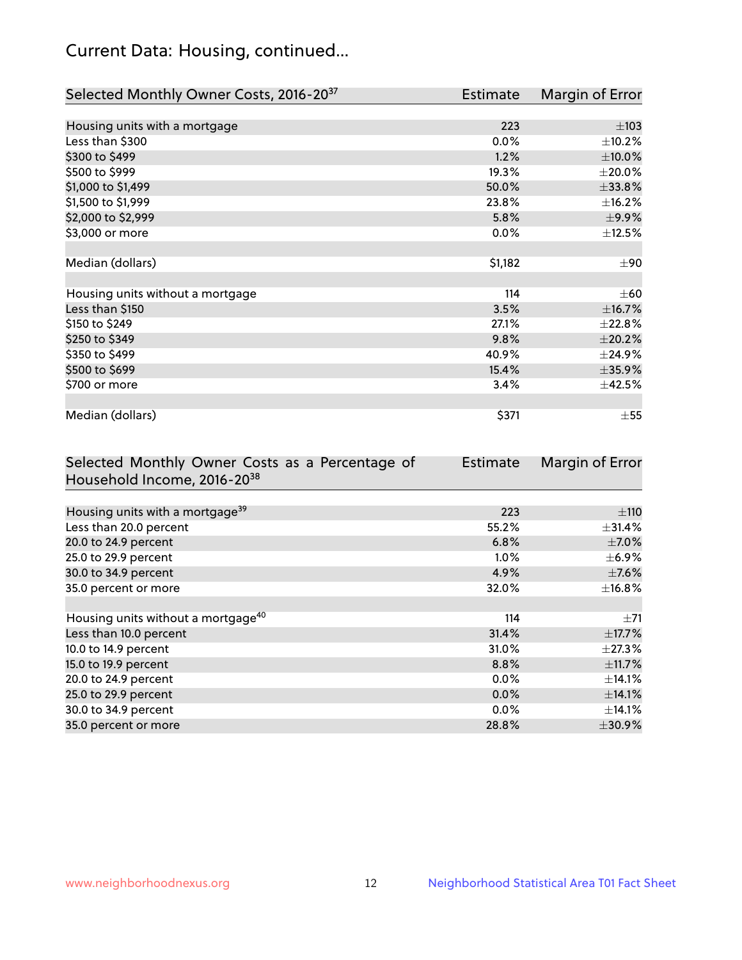## Current Data: Housing, continued...

| Selected Monthly Owner Costs, 2016-20 <sup>37</sup> | <b>Estimate</b> | Margin of Error |
|-----------------------------------------------------|-----------------|-----------------|
|                                                     |                 |                 |
| Housing units with a mortgage                       | 223             | $\pm 103$       |
| Less than \$300                                     | 0.0%            | ±10.2%          |
| \$300 to \$499                                      | 1.2%            | $\pm 10.0\%$    |
| \$500 to \$999                                      | 19.3%           | $\pm 20.0\%$    |
| \$1,000 to \$1,499                                  | 50.0%           | $\pm 33.8\%$    |
| \$1,500 to \$1,999                                  | 23.8%           | ±16.2%          |
| \$2,000 to \$2,999                                  | 5.8%            | $\pm$ 9.9%      |
| \$3,000 or more                                     | 0.0%            | ±12.5%          |
|                                                     |                 |                 |
| Median (dollars)                                    | \$1,182         | $\pm 90$        |
|                                                     |                 |                 |
| Housing units without a mortgage                    | 114             | $\pm 60$        |
| Less than \$150                                     | 3.5%            | ±16.7%          |
| \$150 to \$249                                      | 27.1%           | ±22.8%          |
| \$250 to \$349                                      | 9.8%            | $\pm 20.2\%$    |
| \$350 to \$499                                      | 40.9%           | ±24.9%          |
| \$500 to \$699                                      | 15.4%           | $\pm$ 35.9%     |
| \$700 or more                                       | 3.4%            | ±42.5%          |
|                                                     |                 |                 |
| Median (dollars)                                    | \$371           | $\pm$ 55        |

| Selected Monthly Owner Costs as a Percentage of | <b>Estimate</b> | Margin of Error |
|-------------------------------------------------|-----------------|-----------------|
| Household Income, 2016-20 <sup>38</sup>         |                 |                 |
|                                                 |                 |                 |
| Housing units with a mortgage <sup>39</sup>     | 223             | $\pm$ 110       |
| Less than 20.0 percent                          | 55.2%           | $\pm$ 31.4%     |
| 20.0 to 24.9 percent                            | 6.8%            | $\pm$ 7.0%      |
| 25.0 to 29.9 percent                            | $1.0\%$         | $\pm$ 6.9%      |
| 30.0 to 34.9 percent                            | 4.9%            | $\pm$ 7.6%      |
| 35.0 percent or more                            | 32.0%           | $\pm$ 16.8%     |
|                                                 |                 |                 |
| Housing units without a mortgage <sup>40</sup>  | 114             | $\pm 71$        |
| Less than 10.0 percent                          | 31.4%           | $\pm$ 17.7%     |
| 10.0 to 14.9 percent                            | 31.0%           | $\pm$ 27.3%     |
| 15.0 to 19.9 percent                            | 8.8%            | $\pm$ 11.7%     |
| 20.0 to 24.9 percent                            | $0.0\%$         | ±14.1%          |
| 25.0 to 29.9 percent                            | 0.0%            | ±14.1%          |
| 30.0 to 34.9 percent                            | $0.0\%$         | $\pm$ 14.1%     |
| 35.0 percent or more                            | 28.8%           | $\pm 30.9\%$    |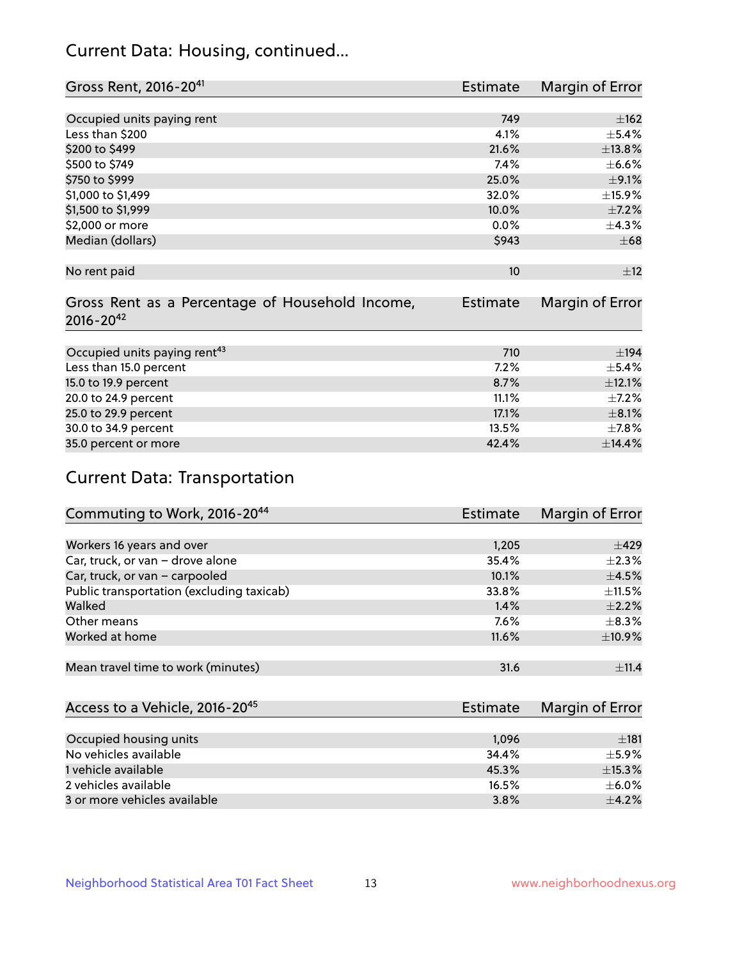## Current Data: Housing, continued...

| Gross Rent, 2016-20 <sup>41</sup>               | <b>Estimate</b> | Margin of Error |
|-------------------------------------------------|-----------------|-----------------|
|                                                 |                 |                 |
| Occupied units paying rent                      | 749             | ±162            |
| Less than \$200                                 | 4.1%            | $\pm$ 5.4%      |
| \$200 to \$499                                  | 21.6%           | ±13.8%          |
| \$500 to \$749                                  | 7.4%            | $\pm$ 6.6%      |
| \$750 to \$999                                  | 25.0%           | $\pm$ 9.1%      |
| \$1,000 to \$1,499                              | 32.0%           | $\pm$ 15.9%     |
| \$1,500 to \$1,999                              | 10.0%           | $\pm$ 7.2%      |
| \$2,000 or more                                 | 0.0%            | ±4.3%           |
| Median (dollars)                                | \$943           | $\pm 68$        |
|                                                 |                 |                 |
| No rent paid                                    | 10              | ±12             |
|                                                 |                 |                 |
| Gross Rent as a Percentage of Household Income, | <b>Estimate</b> | Margin of Error |
| $2016 - 20^{42}$                                |                 |                 |
|                                                 |                 |                 |
| Occupied units paying rent <sup>43</sup>        | 710             | ±194            |
| Less than 15.0 percent                          | 7.2%            | $\pm$ 5.4%      |
| 15.0 to 19.9 percent                            | 8.7%            | $\pm$ 12.1%     |
| 20.0 to 24.9 percent                            | 11.1%           | $\pm$ 7.2%      |
| 25.0 to 29.9 percent                            | 17.1%           | $\pm 8.1\%$     |
| 30.0 to 34.9 percent                            | 13.5%           | $\pm$ 7.8%      |
| 35.0 percent or more                            | 42.4%           | ±14.4%          |

# Current Data: Transportation

| Commuting to Work, 2016-20 <sup>44</sup>  | <b>Estimate</b> | Margin of Error |
|-------------------------------------------|-----------------|-----------------|
|                                           |                 |                 |
| Workers 16 years and over                 | 1,205           | $\pm 429$       |
| Car, truck, or van - drove alone          | 35.4%           | $\pm 2.3\%$     |
| Car, truck, or van - carpooled            | 10.1%           | $\pm$ 4.5%      |
| Public transportation (excluding taxicab) | 33.8%           | $\pm$ 11.5%     |
| Walked                                    | 1.4%            | $\pm 2.2\%$     |
| Other means                               | $7.6\%$         | $\pm$ 8.3%      |
| Worked at home                            | 11.6%           | ±10.9%          |
|                                           |                 |                 |
| Mean travel time to work (minutes)        | 31.6            | ±11.4           |

| Access to a Vehicle, 2016-20 <sup>45</sup> | Estimate | Margin of Error |
|--------------------------------------------|----------|-----------------|
|                                            |          |                 |
| Occupied housing units                     | 1,096    | ±181            |
| No vehicles available                      | 34.4%    | $+5.9%$         |
| 1 vehicle available                        | 45.3%    | ±15.3%          |
| 2 vehicles available                       | 16.5%    | $\pm$ 6.0%      |
| 3 or more vehicles available               | 3.8%     | $+4.2%$         |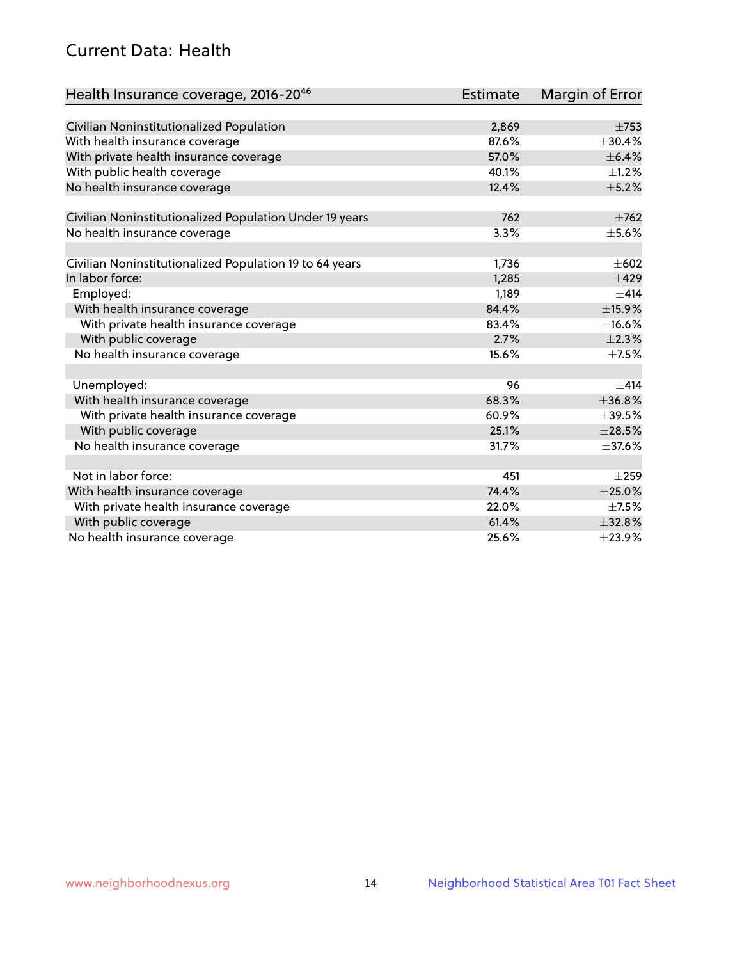## Current Data: Health

| Health Insurance coverage, 2016-2046                    | <b>Estimate</b> | <b>Margin of Error</b> |
|---------------------------------------------------------|-----------------|------------------------|
|                                                         |                 |                        |
| Civilian Noninstitutionalized Population                | 2,869           | $\pm 753$              |
| With health insurance coverage                          | 87.6%           | ±30.4%                 |
| With private health insurance coverage                  | 57.0%           | $\pm$ 6.4%             |
| With public health coverage                             | 40.1%           | $\pm 1.2\%$            |
| No health insurance coverage                            | 12.4%           | $\pm$ 5.2%             |
| Civilian Noninstitutionalized Population Under 19 years | 762             | $\pm 762$              |
| No health insurance coverage                            | 3.3%            | $\pm$ 5.6%             |
|                                                         |                 |                        |
| Civilian Noninstitutionalized Population 19 to 64 years | 1,736           | $\pm 602$              |
| In labor force:                                         | 1,285           | $\pm 429$              |
| Employed:                                               | 1,189           | ±414                   |
| With health insurance coverage                          | 84.4%           | ±15.9%                 |
| With private health insurance coverage                  | 83.4%           | ±16.6%                 |
| With public coverage                                    | 2.7%            | $\pm 2.3\%$            |
| No health insurance coverage                            | 15.6%           | $\pm$ 7.5%             |
|                                                         |                 |                        |
| Unemployed:                                             | 96              | $+414$                 |
| With health insurance coverage                          | 68.3%           | ±36.8%                 |
| With private health insurance coverage                  | 60.9%           | $\pm$ 39.5%            |
| With public coverage                                    | 25.1%           | $\pm 28.5\%$           |
| No health insurance coverage                            | 31.7%           | $\pm$ 37.6%            |
|                                                         |                 |                        |
| Not in labor force:                                     | 451             | $\pm 259$              |
| With health insurance coverage                          | 74.4%           | $\pm 25.0\%$           |
| With private health insurance coverage                  | 22.0%           | $\pm$ 7.5%             |
| With public coverage                                    | 61.4%           | $\pm$ 32.8%            |
| No health insurance coverage                            | 25.6%           | ±23.9%                 |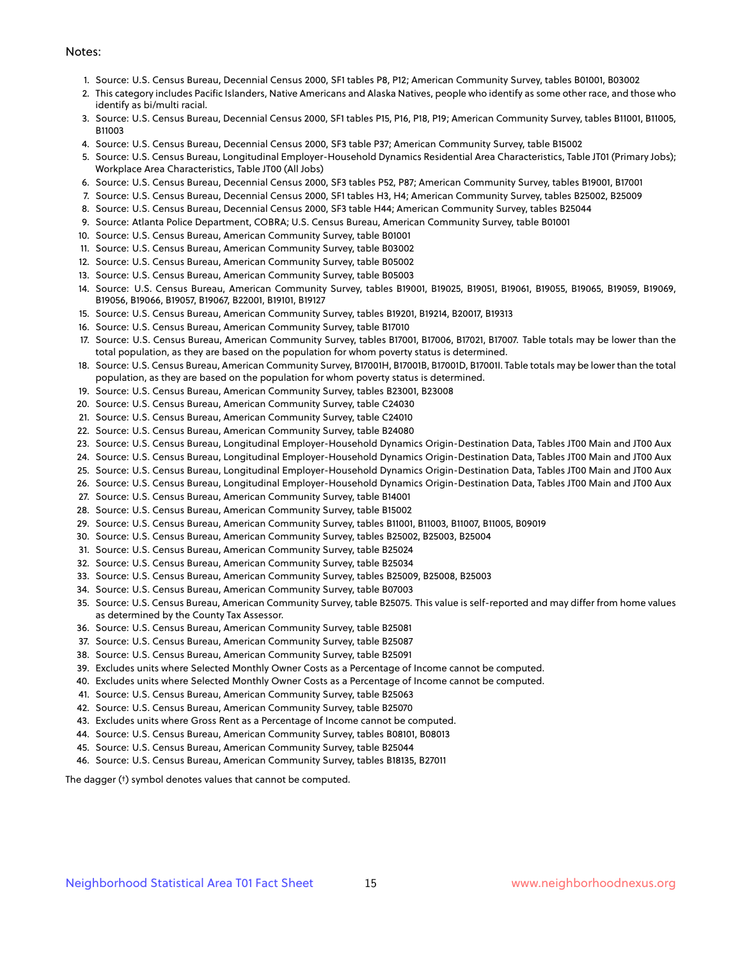#### Notes:

- 1. Source: U.S. Census Bureau, Decennial Census 2000, SF1 tables P8, P12; American Community Survey, tables B01001, B03002
- 2. This category includes Pacific Islanders, Native Americans and Alaska Natives, people who identify as some other race, and those who identify as bi/multi racial.
- 3. Source: U.S. Census Bureau, Decennial Census 2000, SF1 tables P15, P16, P18, P19; American Community Survey, tables B11001, B11005, B11003
- 4. Source: U.S. Census Bureau, Decennial Census 2000, SF3 table P37; American Community Survey, table B15002
- 5. Source: U.S. Census Bureau, Longitudinal Employer-Household Dynamics Residential Area Characteristics, Table JT01 (Primary Jobs); Workplace Area Characteristics, Table JT00 (All Jobs)
- 6. Source: U.S. Census Bureau, Decennial Census 2000, SF3 tables P52, P87; American Community Survey, tables B19001, B17001
- 7. Source: U.S. Census Bureau, Decennial Census 2000, SF1 tables H3, H4; American Community Survey, tables B25002, B25009
- 8. Source: U.S. Census Bureau, Decennial Census 2000, SF3 table H44; American Community Survey, tables B25044
- 9. Source: Atlanta Police Department, COBRA; U.S. Census Bureau, American Community Survey, table B01001
- 10. Source: U.S. Census Bureau, American Community Survey, table B01001
- 11. Source: U.S. Census Bureau, American Community Survey, table B03002
- 12. Source: U.S. Census Bureau, American Community Survey, table B05002
- 13. Source: U.S. Census Bureau, American Community Survey, table B05003
- 14. Source: U.S. Census Bureau, American Community Survey, tables B19001, B19025, B19051, B19061, B19055, B19065, B19059, B19069, B19056, B19066, B19057, B19067, B22001, B19101, B19127
- 15. Source: U.S. Census Bureau, American Community Survey, tables B19201, B19214, B20017, B19313
- 16. Source: U.S. Census Bureau, American Community Survey, table B17010
- 17. Source: U.S. Census Bureau, American Community Survey, tables B17001, B17006, B17021, B17007. Table totals may be lower than the total population, as they are based on the population for whom poverty status is determined.
- 18. Source: U.S. Census Bureau, American Community Survey, B17001H, B17001B, B17001D, B17001I. Table totals may be lower than the total population, as they are based on the population for whom poverty status is determined.
- 19. Source: U.S. Census Bureau, American Community Survey, tables B23001, B23008
- 20. Source: U.S. Census Bureau, American Community Survey, table C24030
- 21. Source: U.S. Census Bureau, American Community Survey, table C24010
- 22. Source: U.S. Census Bureau, American Community Survey, table B24080
- 23. Source: U.S. Census Bureau, Longitudinal Employer-Household Dynamics Origin-Destination Data, Tables JT00 Main and JT00 Aux
- 24. Source: U.S. Census Bureau, Longitudinal Employer-Household Dynamics Origin-Destination Data, Tables JT00 Main and JT00 Aux
- 25. Source: U.S. Census Bureau, Longitudinal Employer-Household Dynamics Origin-Destination Data, Tables JT00 Main and JT00 Aux
- 26. Source: U.S. Census Bureau, Longitudinal Employer-Household Dynamics Origin-Destination Data, Tables JT00 Main and JT00 Aux
- 27. Source: U.S. Census Bureau, American Community Survey, table B14001
- 28. Source: U.S. Census Bureau, American Community Survey, table B15002
- 29. Source: U.S. Census Bureau, American Community Survey, tables B11001, B11003, B11007, B11005, B09019
- 30. Source: U.S. Census Bureau, American Community Survey, tables B25002, B25003, B25004
- 31. Source: U.S. Census Bureau, American Community Survey, table B25024
- 32. Source: U.S. Census Bureau, American Community Survey, table B25034
- 33. Source: U.S. Census Bureau, American Community Survey, tables B25009, B25008, B25003
- 34. Source: U.S. Census Bureau, American Community Survey, table B07003
- 35. Source: U.S. Census Bureau, American Community Survey, table B25075. This value is self-reported and may differ from home values as determined by the County Tax Assessor.
- 36. Source: U.S. Census Bureau, American Community Survey, table B25081
- 37. Source: U.S. Census Bureau, American Community Survey, table B25087
- 38. Source: U.S. Census Bureau, American Community Survey, table B25091
- 39. Excludes units where Selected Monthly Owner Costs as a Percentage of Income cannot be computed.
- 40. Excludes units where Selected Monthly Owner Costs as a Percentage of Income cannot be computed.
- 41. Source: U.S. Census Bureau, American Community Survey, table B25063
- 42. Source: U.S. Census Bureau, American Community Survey, table B25070
- 43. Excludes units where Gross Rent as a Percentage of Income cannot be computed.
- 44. Source: U.S. Census Bureau, American Community Survey, tables B08101, B08013
- 45. Source: U.S. Census Bureau, American Community Survey, table B25044
- 46. Source: U.S. Census Bureau, American Community Survey, tables B18135, B27011

The dagger (†) symbol denotes values that cannot be computed.